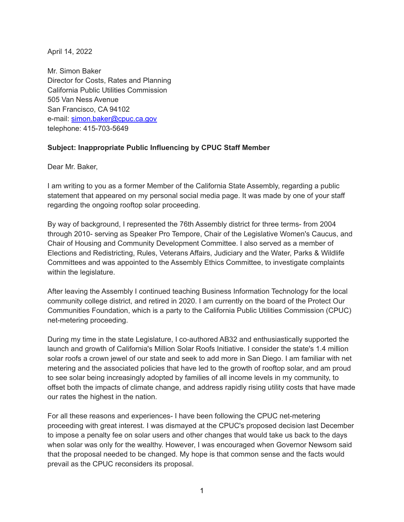April 14, 2022

Mr. Simon Baker Director for Costs, Rates and Planning California Public Utilities Commission 505 Van Ness Avenue San Francisco, CA 94102 e-mail: [simon.baker@cpuc.ca.gov](mailto:simon.baker@cpuc.ca.gov) telephone: 415-703-5649

## **Subject: Inappropriate Public Influencing by CPUC Staff Member**

Dear Mr. Baker,

I am writing to you as a former Member of the California State Assembly, regarding a public statement that appeared on my personal social media page. It was made by one of your staff regarding the ongoing rooftop solar proceeding.

By way of background, I represented the 76th Assembly district for three terms- from 2004 through 2010- serving as Speaker Pro Tempore, Chair of the Legislative Women's Caucus, and Chair of Housing and Community Development Committee. I also served as a member of Elections and Redistricting, Rules, Veterans Affairs, Judiciary and the Water, Parks & Wildlife Committees and was appointed to the Assembly Ethics Committee, to investigate complaints within the legislature.

After leaving the Assembly I continued teaching Business Information Technology for the local community college district, and retired in 2020. I am currently on the board of the Protect Our Communities Foundation, which is a party to the California Public Utilities Commission (CPUC) net-metering proceeding.

During my time in the state Legislature, I co-authored AB32 and enthusiastically supported the launch and growth of California's Million Solar Roofs Initiative. I consider the state's 1.4 million solar roofs a crown jewel of our state and seek to add more in San Diego. I am familiar with net metering and the associated policies that have led to the growth of rooftop solar, and am proud to see solar being increasingly adopted by families of all income levels in my community, to offset both the impacts of climate change, and address rapidly rising utility costs that have made our rates the highest in the nation.

For all these reasons and experiences- I have been following the CPUC net-metering proceeding with great interest. I was dismayed at the CPUC's proposed decision last December to impose a penalty fee on solar users and other changes that would take us back to the days when solar was only for the wealthy. However, I was encouraged when Governor Newsom said that the proposal needed to be changed. My hope is that common sense and the facts would prevail as the CPUC reconsiders its proposal.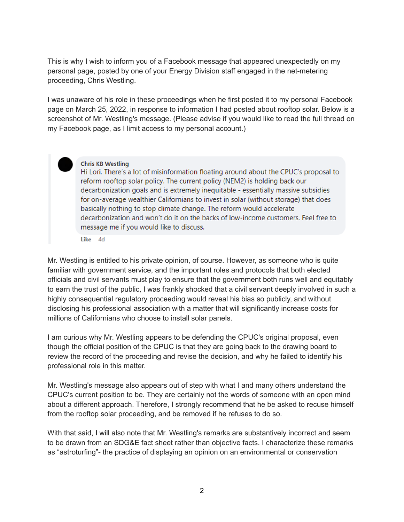This is why I wish to inform you of a Facebook message that appeared unexpectedly on my personal page, posted by one of your Energy Division staff engaged in the net-metering proceeding, Chris Westling.

I was unaware of his role in these proceedings when he first posted it to my personal Facebook page on March 25, 2022, in response to information I had posted about rooftop solar. Below is a screenshot of Mr. Westling's message. (Please advise if you would like to read the full thread on my Facebook page, as I limit access to my personal account.)



## **Chris KB Westling**

Hi Lori. There's a lot of misinformation floating around about the CPUC's proposal to reform rooftop solar policy. The current policy (NEM2) is holding back our decarbonization goals and is extremely inequitable - essentially massive subsidies for on-average wealthier Californians to invest in solar (without storage) that does basically nothing to stop climate change. The reform would accelerate decarbonization and won't do it on the backs of low-income customers. Feel free to message me if you would like to discuss.

Like 4d

Mr. Westling is entitled to his private opinion, of course. However, as someone who is quite familiar with government service, and the important roles and protocols that both elected officials and civil servants must play to ensure that the government both runs well and equitably to earn the trust of the public, I was frankly shocked that a civil servant deeply involved in such a highly consequential regulatory proceeding would reveal his bias so publicly, and without disclosing his professional association with a matter that will significantly increase costs for millions of Californians who choose to install solar panels.

I am curious why Mr. Westling appears to be defending the CPUC's original proposal, even though the official position of the CPUC is that they are going back to the drawing board to review the record of the proceeding and revise the decision, and why he failed to identify his professional role in this matter.

Mr. Westling's message also appears out of step with what I and many others understand the CPUC's current position to be. They are certainly not the words of someone with an open mind about a different approach. Therefore, I strongly recommend that he be asked to recuse himself from the rooftop solar proceeding, and be removed if he refuses to do so.

With that said, I will also note that Mr. Westling's remarks are substantively incorrect and seem to be drawn from an SDG&E fact sheet rather than objective facts. I characterize these remarks as "astroturfing"- the practice of displaying an opinion on an environmental or conservation